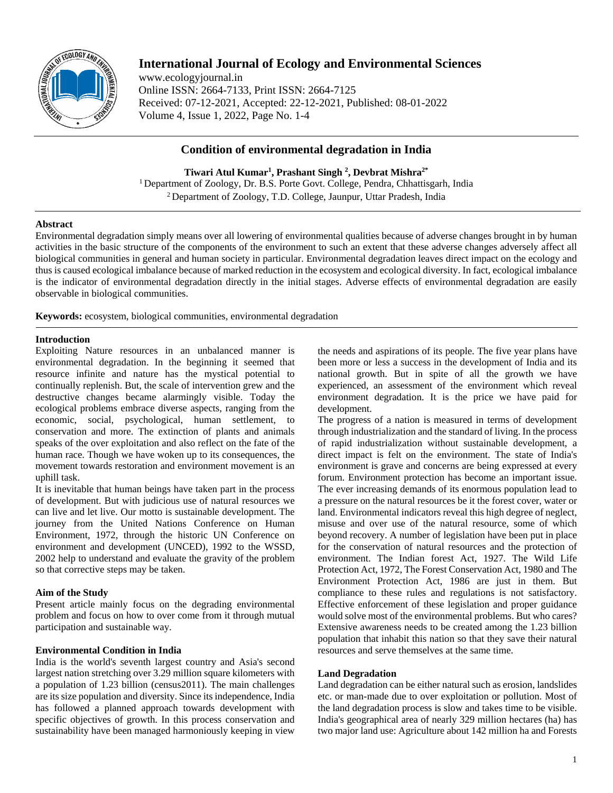

# **International Journal of Ecology and Environmental Sciences**

www.ecologyjournal.in Online ISSN: 2664-7133, Print ISSN: 2664-7125 Received: 07-12-2021, Accepted: 22-12-2021, Published: 08-01-2022 Volume 4, Issue 1, 2022, Page No. 1-4

## **Condition of environmental degradation in India**

**Tiwari Atul Kumar1 , Prashant Singh 2 , Devbrat Mishra2\*** <sup>1</sup> Department of Zoology, Dr. B.S. Porte Govt. College, Pendra, Chhattisgarh, India 2 Department of Zoology, T.D. College, Jaunpur, Uttar Pradesh, India

## **Abstract**

Environmental degradation simply means over all lowering of environmental qualities because of adverse changes brought in by human activities in the basic structure of the components of the environment to such an extent that these adverse changes adversely affect all biological communities in general and human society in particular. Environmental degradation leaves direct impact on the ecology and thus is caused ecological imbalance because of marked reduction in the ecosystem and ecological diversity. In fact, ecological imbalance is the indicator of environmental degradation directly in the initial stages. Adverse effects of environmental degradation are easily observable in biological communities.

**Keywords:** ecosystem, biological communities, environmental degradation

## **Introduction**

Exploiting Nature resources in an unbalanced manner is environmental degradation. In the beginning it seemed that resource infinite and nature has the mystical potential to continually replenish. But, the scale of intervention grew and the destructive changes became alarmingly visible. Today the ecological problems embrace diverse aspects, ranging from the economic, social, psychological, human settlement, to conservation and more. The extinction of plants and animals speaks of the over exploitation and also reflect on the fate of the human race. Though we have woken up to its consequences, the movement towards restoration and environment movement is an uphill task.

It is inevitable that human beings have taken part in the process of development. But with judicious use of natural resources we can live and let live. Our motto is sustainable development. The journey from the United Nations Conference on Human Environment, 1972, through the historic UN Conference on environment and development (UNCED), 1992 to the WSSD, 2002 help to understand and evaluate the gravity of the problem so that corrective steps may be taken.

## **Aim of the Study**

Present article mainly focus on the degrading environmental problem and focus on how to over come from it through mutual participation and sustainable way.

## **Environmental Condition in India**

India is the world's seventh largest country and Asia's second largest nation stretching over 3.29 million square kilometers with a population of 1.23 billion (census2011). The main challenges are its size population and diversity. Since its independence, India has followed a planned approach towards development with specific objectives of growth. In this process conservation and sustainability have been managed harmoniously keeping in view

the needs and aspirations of its people. The five year plans have been more or less a success in the development of India and its national growth. But in spite of all the growth we have experienced, an assessment of the environment which reveal environment degradation. It is the price we have paid for development.

The progress of a nation is measured in terms of development through industrialization and the standard of living. In the process of rapid industrialization without sustainable development, a direct impact is felt on the environment. The state of India's environment is grave and concerns are being expressed at every forum. Environment protection has become an important issue. The ever increasing demands of its enormous population lead to a pressure on the natural resources be it the forest cover, water or land. Environmental indicators reveal this high degree of neglect, misuse and over use of the natural resource, some of which beyond recovery. A number of legislation have been put in place for the conservation of natural resources and the protection of environment. The Indian forest Act, 1927. The Wild Life Protection Act, 1972, The Forest Conservation Act, 1980 and The Environment Protection Act, 1986 are just in them. But compliance to these rules and regulations is not satisfactory. Effective enforcement of these legislation and proper guidance would solve most of the environmental problems. But who cares? Extensive awareness needs to be created among the 1.23 billion population that inhabit this nation so that they save their natural resources and serve themselves at the same time.

## **Land Degradation**

Land degradation can be either natural such as erosion, landslides etc. or man-made due to over exploitation or pollution. Most of the land degradation process is slow and takes time to be visible. India's geographical area of nearly 329 million hectares (ha) has two major land use: Agriculture about 142 million ha and Forests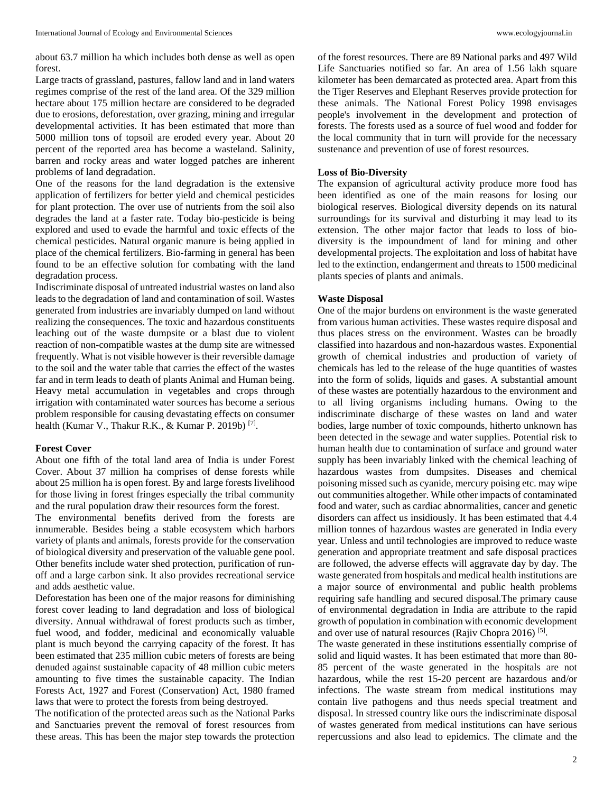about 63.7 million ha which includes both dense as well as open forest.

Large tracts of grassland, pastures, fallow land and in land waters regimes comprise of the rest of the land area. Of the 329 million hectare about 175 million hectare are considered to be degraded due to erosions, deforestation, over grazing, mining and irregular developmental activities. It has been estimated that more than 5000 million tons of topsoil are eroded every year. About 20 percent of the reported area has become a wasteland. Salinity, barren and rocky areas and water logged patches are inherent problems of land degradation.

One of the reasons for the land degradation is the extensive application of fertilizers for better yield and chemical pesticides for plant protection. The over use of nutrients from the soil also degrades the land at a faster rate. Today bio-pesticide is being explored and used to evade the harmful and toxic effects of the chemical pesticides. Natural organic manure is being applied in place of the chemical fertilizers. Bio-farming in general has been found to be an effective solution for combating with the land degradation process.

Indiscriminate disposal of untreated industrial wastes on land also leads to the degradation of land and contamination of soil. Wastes generated from industries are invariably dumped on land without realizing the consequences. The toxic and hazardous constituents leaching out of the waste dumpsite or a blast due to violent reaction of non-compatible wastes at the dump site are witnessed frequently. What is not visible however is their reversible damage to the soil and the water table that carries the effect of the wastes far and in term leads to death of plants Animal and Human being. Heavy metal accumulation in vegetables and crops through irrigation with contaminated water sources has become a serious problem responsible for causing devastating effects on consumer health (Kumar V., Thakur R.K., & Kumar P. 2019b)<sup>[7]</sup>.

#### **Forest Cover**

About one fifth of the total land area of India is under Forest Cover. About 37 million ha comprises of dense forests while about 25 million ha is open forest. By and large forests livelihood for those living in forest fringes especially the tribal community and the rural population draw their resources form the forest.

The environmental benefits derived from the forests are innumerable. Besides being a stable ecosystem which harbors variety of plants and animals, forests provide for the conservation of biological diversity and preservation of the valuable gene pool. Other benefits include water shed protection, purification of runoff and a large carbon sink. It also provides recreational service and adds aesthetic value.

Deforestation has been one of the major reasons for diminishing forest cover leading to land degradation and loss of biological diversity. Annual withdrawal of forest products such as timber, fuel wood, and fodder, medicinal and economically valuable plant is much beyond the carrying capacity of the forest. It has been estimated that 235 million cubic meters of forests are being denuded against sustainable capacity of 48 million cubic meters amounting to five times the sustainable capacity. The Indian Forests Act, 1927 and Forest (Conservation) Act, 1980 framed laws that were to protect the forests from being destroyed.

The notification of the protected areas such as the National Parks and Sanctuaries prevent the removal of forest resources from these areas. This has been the major step towards the protection

of the forest resources. There are 89 National parks and 497 Wild Life Sanctuaries notified so far. An area of 1.56 lakh square kilometer has been demarcated as protected area. Apart from this the Tiger Reserves and Elephant Reserves provide protection for these animals. The National Forest Policy 1998 envisages people's involvement in the development and protection of forests. The forests used as a source of fuel wood and fodder for the local community that in turn will provide for the necessary sustenance and prevention of use of forest resources.

#### **Loss of Bio-Diversity**

The expansion of agricultural activity produce more food has been identified as one of the main reasons for losing our biological reserves. Biological diversity depends on its natural surroundings for its survival and disturbing it may lead to its extension. The other major factor that leads to loss of biodiversity is the impoundment of land for mining and other developmental projects. The exploitation and loss of habitat have led to the extinction, endangerment and threats to 1500 medicinal plants species of plants and animals.

#### **Waste Disposal**

One of the major burdens on environment is the waste generated from various human activities. These wastes require disposal and thus places stress on the environment. Wastes can be broadly classified into hazardous and non-hazardous wastes. Exponential growth of chemical industries and production of variety of chemicals has led to the release of the huge quantities of wastes into the form of solids, liquids and gases. A substantial amount of these wastes are potentially hazardous to the environment and to all living organisms including humans. Owing to the indiscriminate discharge of these wastes on land and water bodies, large number of toxic compounds, hitherto unknown has been detected in the sewage and water supplies. Potential risk to human health due to contamination of surface and ground water supply has been invariably linked with the chemical leaching of hazardous wastes from dumpsites. Diseases and chemical poisoning missed such as cyanide, mercury poising etc. may wipe out communities altogether. While other impacts of contaminated food and water, such as cardiac abnormalities, cancer and genetic disorders can affect us insidiously. It has been estimated that 4.4 million tonnes of hazardous wastes are generated in India every year. Unless and until technologies are improved to reduce waste generation and appropriate treatment and safe disposal practices are followed, the adverse effects will aggravate day by day. The waste generated from hospitals and medical health institutions are a major source of environmental and public health problems requiring safe handling and secured disposal.The primary cause of environmental degradation in India are attribute to the rapid growth of population in combination with economic development and over use of natural resources (Rajiv Chopra 2016)<sup>[5]</sup>.

The waste generated in these institutions essentially comprise of solid and liquid wastes. It has been estimated that more than 80- 85 percent of the waste generated in the hospitals are not hazardous, while the rest 15-20 percent are hazardous and/or infections. The waste stream from medical institutions may contain live pathogens and thus needs special treatment and disposal. In stressed country like ours the indiscriminate disposal of wastes generated from medical institutions can have serious repercussions and also lead to epidemics. The climate and the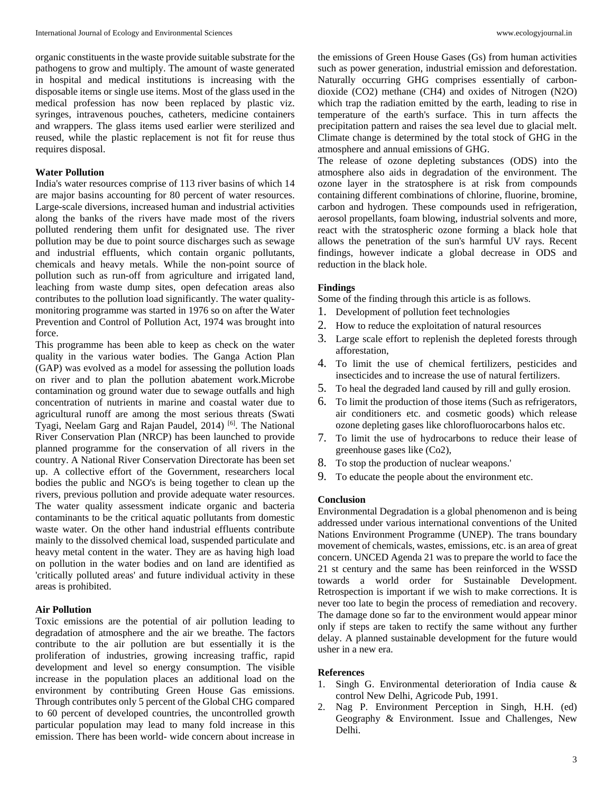organic constituents in the waste provide suitable substrate for the pathogens to grow and multiply. The amount of waste generated in hospital and medical institutions is increasing with the disposable items or single use items. Most of the glass used in the medical profession has now been replaced by plastic viz. syringes, intravenous pouches, catheters, medicine containers and wrappers. The glass items used earlier were sterilized and reused, while the plastic replacement is not fit for reuse thus requires disposal.

## **Water Pollution**

India's water resources comprise of 113 river basins of which 14 are major basins accounting for 80 percent of water resources. Large-scale diversions, increased human and industrial activities along the banks of the rivers have made most of the rivers polluted rendering them unfit for designated use. The river pollution may be due to point source discharges such as sewage and industrial effluents, which contain organic pollutants, chemicals and heavy metals. While the non-point source of pollution such as run-off from agriculture and irrigated land, leaching from waste dump sites, open defecation areas also contributes to the pollution load significantly. The water qualitymonitoring programme was started in 1976 so on after the Water Prevention and Control of Pollution Act, 1974 was brought into force.

This programme has been able to keep as check on the water quality in the various water bodies. The Ganga Action Plan (GAP) was evolved as a model for assessing the pollution loads on river and to plan the pollution abatement work.Microbe contamination og ground water due to sewage outfalls and high concentration of nutrients in marine and coastal water due to agricultural runoff are among the most serious threats (Swati Tyagi, Neelam Garg and Rajan Paudel, 2014)<sup>[6]</sup>. The National River Conservation Plan (NRCP) has been launched to provide planned programme for the conservation of all rivers in the country. A National River Conservation Directorate has been set up. A collective effort of the Government, researchers local bodies the public and NGO's is being together to clean up the rivers, previous pollution and provide adequate water resources. The water quality assessment indicate organic and bacteria contaminants to be the critical aquatic pollutants from domestic waste water. On the other hand industrial effluents contribute mainly to the dissolved chemical load, suspended particulate and heavy metal content in the water. They are as having high load on pollution in the water bodies and on land are identified as 'critically polluted areas' and future individual activity in these areas is prohibited.

#### **Air Pollution**

Toxic emissions are the potential of air pollution leading to degradation of atmosphere and the air we breathe. The factors contribute to the air pollution are but essentially it is the proliferation of industries, growing increasing traffic, rapid development and level so energy consumption. The visible increase in the population places an additional load on the environment by contributing Green House Gas emissions. Through contributes only 5 percent of the Global CHG compared to 60 percent of developed countries, the uncontrolled growth particular population may lead to many fold increase in this emission. There has been world- wide concern about increase in

the emissions of Green House Gases (Gs) from human activities such as power generation, industrial emission and deforestation. Naturally occurring GHG comprises essentially of carbondioxide (CO2) methane (CH4) and oxides of Nitrogen (N2O) which trap the radiation emitted by the earth, leading to rise in temperature of the earth's surface. This in turn affects the precipitation pattern and raises the sea level due to glacial melt. Climate change is determined by the total stock of GHG in the atmosphere and annual emissions of GHG.

The release of ozone depleting substances (ODS) into the atmosphere also aids in degradation of the environment. The ozone layer in the stratosphere is at risk from compounds containing different combinations of chlorine, fluorine, bromine, carbon and hydrogen. These compounds used in refrigeration, aerosol propellants, foam blowing, industrial solvents and more, react with the stratospheric ozone forming a black hole that allows the penetration of the sun's harmful UV rays. Recent findings, however indicate a global decrease in ODS and reduction in the black hole.

#### **Findings**

Some of the finding through this article is as follows.

- 1. Development of pollution feet technologies
- 2. How to reduce the exploitation of natural resources
- 3. Large scale effort to replenish the depleted forests through afforestation,
- 4. To limit the use of chemical fertilizers, pesticides and insecticides and to increase the use of natural fertilizers.
- 5. To heal the degraded land caused by rill and gully erosion.
- 6. To limit the production of those items (Such as refrigerators, air conditioners etc. and cosmetic goods) which release ozone depleting gases like chlorofluorocarbons halos etc.
- 7. To limit the use of hydrocarbons to reduce their lease of greenhouse gases like (Co2),
- 8. To stop the production of nuclear weapons.'
- 9. To educate the people about the environment etc.

#### **Conclusion**

Environmental Degradation is a global phenomenon and is being addressed under various international conventions of the United Nations Environment Programme (UNEP). The trans boundary movement of chemicals, wastes, emissions, etc. is an area of great concern. UNCED Agenda 21 was to prepare the world to face the 21 st century and the same has been reinforced in the WSSD towards a world order for Sustainable Development. Retrospection is important if we wish to make corrections. It is never too late to begin the process of remediation and recovery. The damage done so far to the environment would appear minor only if steps are taken to rectify the same without any further delay. A planned sustainable development for the future would usher in a new era.

#### **References**

- 1. Singh G. Environmental deterioration of India cause & control New Delhi, Agricode Pub, 1991.
- 2. Nag P. Environment Perception in Singh, H.H. (ed) Geography & Environment. Issue and Challenges, New Delhi.